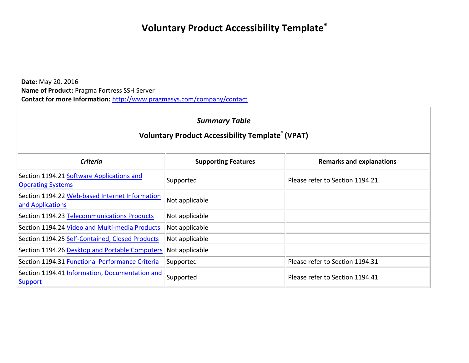# **Voluntary Product Accessibility Template®**

**Date:** May 20, 2016 **Name of Product:** Pragma Fortress SSH Server **Contact for more Information:** <http://www.pragmasys.com/company/contact>

#### *Summary Table*

| <b>Criteria</b>                                                       | <b>Supporting Features</b> | <b>Remarks and explanations</b> |
|-----------------------------------------------------------------------|----------------------------|---------------------------------|
| Section 1194.21 Software Applications and<br><b>Operating Systems</b> | Supported                  | Please refer to Section 1194.21 |
| Section 1194.22 Web-based Internet Information<br>and Applications    | Not applicable             |                                 |
| Section 1194.23 Telecommunications Products                           | Not applicable             |                                 |
| Section 1194.24 Video and Multi-media Products                        | Not applicable             |                                 |
| Section 1194.25 Self-Contained, Closed Products                       | Not applicable             |                                 |
| Section 1194.26 Desktop and Portable Computers                        | Not applicable             |                                 |
| Section 1194.31 Functional Performance Criteria                       | Supported                  | Please refer to Section 1194.31 |
| Section 1194.41 Information, Documentation and<br><b>Support</b>      | Supported                  | Please refer to Section 1194.41 |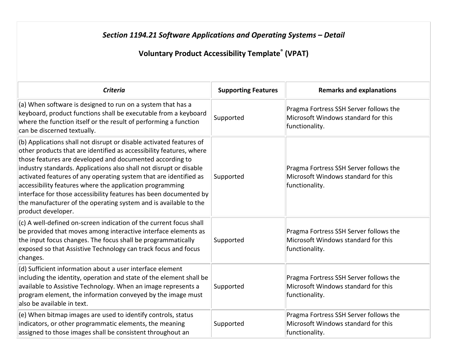# **Section 1194.21 Software Applications and Operating Systems - Detail**

| <b>Criteria</b>                                                                                                                                                                                                                                                                                                                                                                                                                                                                                                                                                              | <b>Supporting Features</b> | <b>Remarks and explanations</b>                                                                 |
|------------------------------------------------------------------------------------------------------------------------------------------------------------------------------------------------------------------------------------------------------------------------------------------------------------------------------------------------------------------------------------------------------------------------------------------------------------------------------------------------------------------------------------------------------------------------------|----------------------------|-------------------------------------------------------------------------------------------------|
| (a) When software is designed to run on a system that has a<br>keyboard, product functions shall be executable from a keyboard<br>where the function itself or the result of performing a function<br>can be discerned textually.                                                                                                                                                                                                                                                                                                                                            | Supported                  | Pragma Fortress SSH Server follows the<br>Microsoft Windows standard for this<br>functionality. |
| (b) Applications shall not disrupt or disable activated features of<br>other products that are identified as accessibility features, where<br>those features are developed and documented according to<br>industry standards. Applications also shall not disrupt or disable<br>activated features of any operating system that are identified as<br>accessibility features where the application programming<br>interface for those accessibility features has been documented by<br>the manufacturer of the operating system and is available to the<br>product developer. | Supported                  | Pragma Fortress SSH Server follows the<br>Microsoft Windows standard for this<br>functionality. |
| $(c)$ A well-defined on-screen indication of the current focus shall<br>be provided that moves among interactive interface elements as<br>the input focus changes. The focus shall be programmatically<br>exposed so that Assistive Technology can track focus and focus<br>changes.                                                                                                                                                                                                                                                                                         | Supported                  | Pragma Fortress SSH Server follows the<br>Microsoft Windows standard for this<br>functionality. |
| (d) Sufficient information about a user interface element<br>including the identity, operation and state of the element shall be<br>available to Assistive Technology. When an image represents a<br>program element, the information conveyed by the image must<br>also be available in text.                                                                                                                                                                                                                                                                               | Supported                  | Pragma Fortress SSH Server follows the<br>Microsoft Windows standard for this<br>functionality. |
| (e) When bitmap images are used to identify controls, status<br>indicators, or other programmatic elements, the meaning<br>assigned to those images shall be consistent throughout an                                                                                                                                                                                                                                                                                                                                                                                        | Supported                  | Pragma Fortress SSH Server follows the<br>Microsoft Windows standard for this<br>functionality. |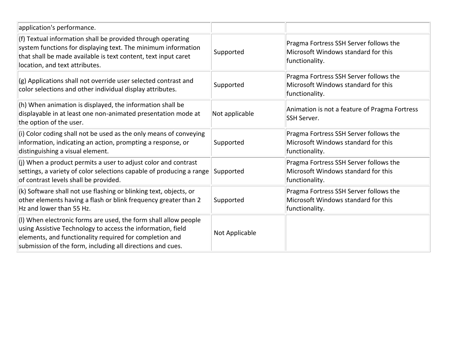| application's performance.                                                                                                                                                                                                                              |                |                                                                                                 |
|---------------------------------------------------------------------------------------------------------------------------------------------------------------------------------------------------------------------------------------------------------|----------------|-------------------------------------------------------------------------------------------------|
| (f) Textual information shall be provided through operating<br>system functions for displaying text. The minimum information<br>that shall be made available is text content, text input caret<br>location, and text attributes.                        | Supported      | Pragma Fortress SSH Server follows the<br>Microsoft Windows standard for this<br>functionality. |
| (g) Applications shall not override user selected contrast and<br>color selections and other individual display attributes.                                                                                                                             | Supported      | Pragma Fortress SSH Server follows the<br>Microsoft Windows standard for this<br>functionality. |
| (h) When animation is displayed, the information shall be<br>displayable in at least one non-animated presentation mode at<br>the option of the user.                                                                                                   | Not applicable | Animation is not a feature of Pragma Fortress<br>SSH Server.                                    |
| (i) Color coding shall not be used as the only means of conveying<br>information, indicating an action, prompting a response, or<br>distinguishing a visual element.                                                                                    | Supported      | Pragma Fortress SSH Server follows the<br>Microsoft Windows standard for this<br>functionality. |
| (j) When a product permits a user to adjust color and contrast<br>settings, a variety of color selections capable of producing a range<br>of contrast levels shall be provided.                                                                         | Supported      | Pragma Fortress SSH Server follows the<br>Microsoft Windows standard for this<br>functionality. |
| (k) Software shall not use flashing or blinking text, objects, or<br>other elements having a flash or blink frequency greater than 2<br>Hz and lower than 55 Hz.                                                                                        | Supported      | Pragma Fortress SSH Server follows the<br>Microsoft Windows standard for this<br>functionality. |
| (I) When electronic forms are used, the form shall allow people<br>using Assistive Technology to access the information, field<br>elements, and functionality required for completion and<br>submission of the form, including all directions and cues. | Not Applicable |                                                                                                 |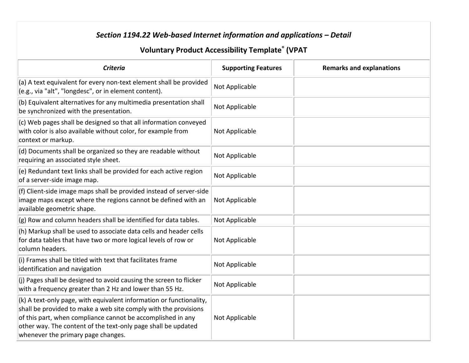# *Section 1194.22 Web-based Internet information and applications – Detail*

| <b>Criteria</b>                                                                                                                                                                                                                                                                                              | <b>Supporting Features</b> | <b>Remarks and explanations</b> |
|--------------------------------------------------------------------------------------------------------------------------------------------------------------------------------------------------------------------------------------------------------------------------------------------------------------|----------------------------|---------------------------------|
| (a) A text equivalent for every non-text element shall be provided<br>(e.g., via "alt", "longdesc", or in element content).                                                                                                                                                                                  | Not Applicable             |                                 |
| (b) Equivalent alternatives for any multimedia presentation shall<br>be synchronized with the presentation.                                                                                                                                                                                                  | Not Applicable             |                                 |
| (c) Web pages shall be designed so that all information conveyed<br>with color is also available without color, for example from<br>context or markup.                                                                                                                                                       | Not Applicable             |                                 |
| (d) Documents shall be organized so they are readable without<br>requiring an associated style sheet.                                                                                                                                                                                                        | Not Applicable             |                                 |
| (e) Redundant text links shall be provided for each active region<br>of a server-side image map.                                                                                                                                                                                                             | Not Applicable             |                                 |
| (f) Client-side image maps shall be provided instead of server-side<br>image maps except where the regions cannot be defined with an<br>available geometric shape.                                                                                                                                           | Not Applicable             |                                 |
| (g) Row and column headers shall be identified for data tables.                                                                                                                                                                                                                                              | Not Applicable             |                                 |
| (h) Markup shall be used to associate data cells and header cells<br>for data tables that have two or more logical levels of row or<br>column headers.                                                                                                                                                       | Not Applicable             |                                 |
| (i) Frames shall be titled with text that facilitates frame<br>identification and navigation                                                                                                                                                                                                                 | Not Applicable             |                                 |
| (j) Pages shall be designed to avoid causing the screen to flicker<br>with a frequency greater than 2 Hz and lower than 55 Hz.                                                                                                                                                                               | Not Applicable             |                                 |
| (k) A text-only page, with equivalent information or functionality,<br>shall be provided to make a web site comply with the provisions<br>of this part, when compliance cannot be accomplished in any<br>other way. The content of the text-only page shall be updated<br>whenever the primary page changes. | Not Applicable             |                                 |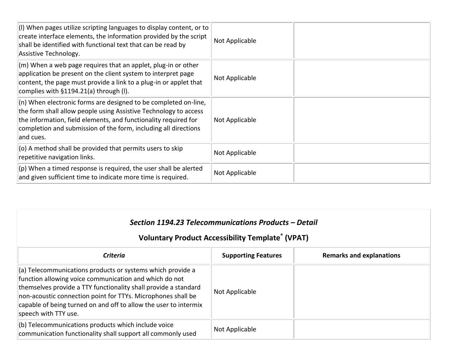| $\vert$ (I) When pages utilize scripting languages to display content, or to<br>create interface elements, the information provided by the script<br>shall be identified with functional text that can be read by<br>Assistive Technology.                                               | Not Applicable |  |
|------------------------------------------------------------------------------------------------------------------------------------------------------------------------------------------------------------------------------------------------------------------------------------------|----------------|--|
| $\vert$ (m) When a web page requires that an applet, plug-in or other<br>application be present on the client system to interpret page<br>content, the page must provide a link to a plug-in or applet that<br>complies with $§1194.21(a)$ through (I).                                  | Not Applicable |  |
| $(n)$ When electronic forms are designed to be completed on-line,<br>the form shall allow people using Assistive Technology to access<br>the information, field elements, and functionality required for<br>completion and submission of the form, including all directions<br>and cues. | Not Applicable |  |
| $ $ (o) A method shall be provided that permits users to skip<br>repetitive navigation links.                                                                                                                                                                                            | Not Applicable |  |
| $ $ (p) When a timed response is required, the user shall be alerted<br>and given sufficient time to indicate more time is required.                                                                                                                                                     | Not Applicable |  |

# *Section 1194.23 Telecommunications Products – Detail*

| Criteria                                                                                                                                                                                                                                                                                                                                                        | <b>Supporting Features</b> | <b>Remarks and explanations</b> |
|-----------------------------------------------------------------------------------------------------------------------------------------------------------------------------------------------------------------------------------------------------------------------------------------------------------------------------------------------------------------|----------------------------|---------------------------------|
| $\parallel$ (a) Telecommunications products or systems which provide a<br>function allowing voice communication and which do not<br>themselves provide a TTY functionality shall provide a standard<br>non-acoustic connection point for TTYs. Microphones shall be<br>capable of being turned on and off to allow the user to intermix<br>speech with TTY use. | Not Applicable             |                                 |
| $\vert$ (b) Telecommunications products which include voice<br>communication functionality shall support all commonly used                                                                                                                                                                                                                                      | Not Applicable             |                                 |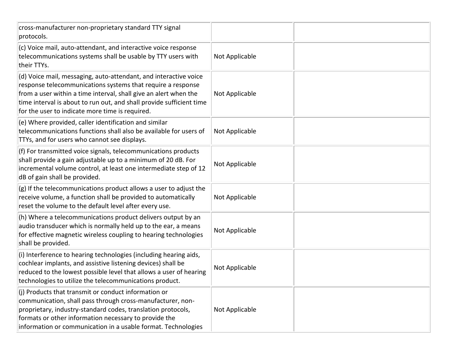| cross-manufacturer non-proprietary standard TTY signal<br>protocols.                                                                                                                                                                                                                                                           |                |  |
|--------------------------------------------------------------------------------------------------------------------------------------------------------------------------------------------------------------------------------------------------------------------------------------------------------------------------------|----------------|--|
| (c) Voice mail, auto-attendant, and interactive voice response<br>telecommunications systems shall be usable by TTY users with<br>their TTYs.                                                                                                                                                                                  | Not Applicable |  |
| (d) Voice mail, messaging, auto-attendant, and interactive voice<br>response telecommunications systems that require a response<br>from a user within a time interval, shall give an alert when the<br>time interval is about to run out, and shall provide sufficient time<br>for the user to indicate more time is required. | Not Applicable |  |
| (e) Where provided, caller identification and similar<br>telecommunications functions shall also be available for users of<br>TTYs, and for users who cannot see displays.                                                                                                                                                     | Not Applicable |  |
| (f) For transmitted voice signals, telecommunications products<br>shall provide a gain adjustable up to a minimum of 20 dB. For<br>incremental volume control, at least one intermediate step of 12<br>dB of gain shall be provided.                                                                                           | Not Applicable |  |
| (g) If the telecommunications product allows a user to adjust the<br>receive volume, a function shall be provided to automatically<br>reset the volume to the default level after every use.                                                                                                                                   | Not Applicable |  |
| (h) Where a telecommunications product delivers output by an<br>audio transducer which is normally held up to the ear, a means<br>for effective magnetic wireless coupling to hearing technologies<br>shall be provided.                                                                                                       | Not Applicable |  |
| (i) Interference to hearing technologies (including hearing aids,<br>cochlear implants, and assistive listening devices) shall be<br>reduced to the lowest possible level that allows a user of hearing<br>technologies to utilize the telecommunications product.                                                             | Not Applicable |  |
| (i) Products that transmit or conduct information or<br>communication, shall pass through cross-manufacturer, non-<br>proprietary, industry-standard codes, translation protocols,<br>formats or other information necessary to provide the<br>information or communication in a usable format. Technologies                   | Not Applicable |  |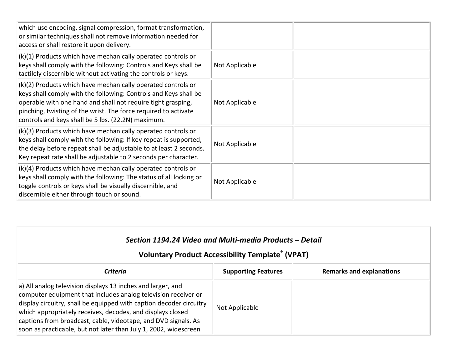| which use encoding, signal compression, format transformation,<br>or similar techniques shall not remove information needed for<br>access or shall restore it upon delivery.                                                                                                                                                |                |  |
|-----------------------------------------------------------------------------------------------------------------------------------------------------------------------------------------------------------------------------------------------------------------------------------------------------------------------------|----------------|--|
| (k)(1) Products which have mechanically operated controls or<br>keys shall comply with the following: Controls and Keys shall be<br>tactilely discernible without activating the controls or keys.                                                                                                                          | Not Applicable |  |
| $(k)(2)$ Products which have mechanically operated controls or<br>keys shall comply with the following: Controls and Keys shall be<br>operable with one hand and shall not require tight grasping,<br>pinching, twisting of the wrist. The force required to activate<br>controls and keys shall be 5 lbs. (22.2N) maximum. | Not Applicable |  |
| $(k)(3)$ Products which have mechanically operated controls or<br>keys shall comply with the following: If key repeat is supported,<br>the delay before repeat shall be adjustable to at least 2 seconds.<br>Key repeat rate shall be adjustable to 2 seconds per character.                                                | Not Applicable |  |
| (k)(4) Products which have mechanically operated controls or<br>keys shall comply with the following: The status of all locking or<br>toggle controls or keys shall be visually discernible, and<br>discernible either through touch or sound.                                                                              | Not Applicable |  |

# *Section 1194.24 Video and Multi-media Products – Detail*

| <b>Criteria</b>                                                                                                                                                                                                                                                                                                                                                                                                  | <b>Supporting Features</b> | <b>Remarks and explanations</b> |
|------------------------------------------------------------------------------------------------------------------------------------------------------------------------------------------------------------------------------------------------------------------------------------------------------------------------------------------------------------------------------------------------------------------|----------------------------|---------------------------------|
| $\vert$ a) All analog television displays 13 inches and larger, and<br>computer equipment that includes analog television receiver or<br>display circuitry, shall be equipped with caption decoder circuitry<br>which appropriately receives, decodes, and displays closed<br>captions from broadcast, cable, videotape, and DVD signals. As<br>soon as practicable, but not later than July 1, 2002, widescreen | Not Applicable             |                                 |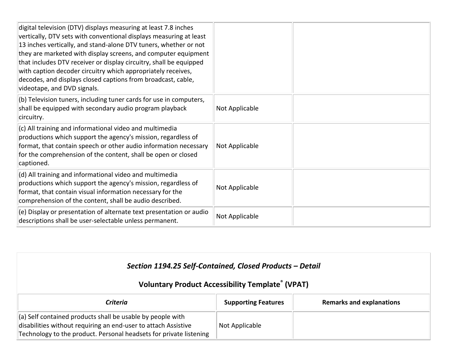| digital television (DTV) displays measuring at least 7.8 inches<br>vertically, DTV sets with conventional displays measuring at least<br>13 inches vertically, and stand-alone DTV tuners, whether or not<br>they are marketed with display screens, and computer equipment<br>that includes DTV receiver or display circuitry, shall be equipped<br>with caption decoder circuitry which appropriately receives,<br>decodes, and displays closed captions from broadcast, cable,<br>videotape, and DVD signals. |                |  |
|------------------------------------------------------------------------------------------------------------------------------------------------------------------------------------------------------------------------------------------------------------------------------------------------------------------------------------------------------------------------------------------------------------------------------------------------------------------------------------------------------------------|----------------|--|
| $\vert$ (b) Television tuners, including tuner cards for use in computers,<br>shall be equipped with secondary audio program playback<br>circuitry.                                                                                                                                                                                                                                                                                                                                                              | Not Applicable |  |
| $ $ (c) All training and informational video and multimedia<br>productions which support the agency's mission, regardless of<br>format, that contain speech or other audio information necessary<br>for the comprehension of the content, shall be open or closed<br>captioned.                                                                                                                                                                                                                                  | Not Applicable |  |
| $ $ (d) All training and informational video and multimedia<br>productions which support the agency's mission, regardless of<br>format, that contain visual information necessary for the<br>comprehension of the content, shall be audio described.                                                                                                                                                                                                                                                             | Not Applicable |  |
| $\vert$ (e) Display or presentation of alternate text presentation or audio<br>descriptions shall be user-selectable unless permanent.                                                                                                                                                                                                                                                                                                                                                                           | Not Applicable |  |

| Section 1194.25 Self-Contained, Closed Products - Detail<br><b>Voluntary Product Accessibility Template® (VPAT)</b>                                                                                |                            |                                 |
|----------------------------------------------------------------------------------------------------------------------------------------------------------------------------------------------------|----------------------------|---------------------------------|
| <b>Criteria</b>                                                                                                                                                                                    | <b>Supporting Features</b> | <b>Remarks and explanations</b> |
| (a) Self contained products shall be usable by people with<br>disabilities without requiring an end-user to attach Assistive<br>Technology to the product. Personal headsets for private listening | Not Applicable             |                                 |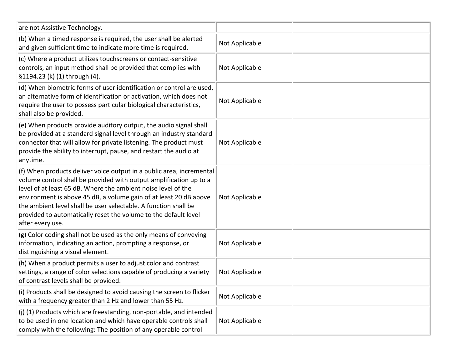| are not Assistive Technology.                                                                                                                                                                                                                                                                                                                                                                                                              |                |  |
|--------------------------------------------------------------------------------------------------------------------------------------------------------------------------------------------------------------------------------------------------------------------------------------------------------------------------------------------------------------------------------------------------------------------------------------------|----------------|--|
| (b) When a timed response is required, the user shall be alerted<br>and given sufficient time to indicate more time is required.                                                                                                                                                                                                                                                                                                           | Not Applicable |  |
| (c) Where a product utilizes touchscreens or contact-sensitive<br>controls, an input method shall be provided that complies with<br>§1194.23 (k) (1) through (4).                                                                                                                                                                                                                                                                          | Not Applicable |  |
| (d) When biometric forms of user identification or control are used,<br>an alternative form of identification or activation, which does not<br>require the user to possess particular biological characteristics,<br>shall also be provided.                                                                                                                                                                                               | Not Applicable |  |
| (e) When products provide auditory output, the audio signal shall<br>be provided at a standard signal level through an industry standard<br>connector that will allow for private listening. The product must<br>provide the ability to interrupt, pause, and restart the audio at<br>anytime.                                                                                                                                             | Not Applicable |  |
| (f) When products deliver voice output in a public area, incremental<br>volume control shall be provided with output amplification up to a<br>level of at least 65 dB. Where the ambient noise level of the<br>environment is above 45 dB, a volume gain of at least 20 dB above<br>the ambient level shall be user selectable. A function shall be<br>provided to automatically reset the volume to the default level<br>after every use. | Not Applicable |  |
| (g) Color coding shall not be used as the only means of conveying<br>information, indicating an action, prompting a response, or<br>distinguishing a visual element.                                                                                                                                                                                                                                                                       | Not Applicable |  |
| (h) When a product permits a user to adjust color and contrast<br>settings, a range of color selections capable of producing a variety<br>of contrast levels shall be provided.                                                                                                                                                                                                                                                            | Not Applicable |  |
| (i) Products shall be designed to avoid causing the screen to flicker<br>with a frequency greater than 2 Hz and lower than 55 Hz.                                                                                                                                                                                                                                                                                                          | Not Applicable |  |
| $(i)$ (1) Products which are freestanding, non-portable, and intended<br>to be used in one location and which have operable controls shall<br>comply with the following: The position of any operable control                                                                                                                                                                                                                              | Not Applicable |  |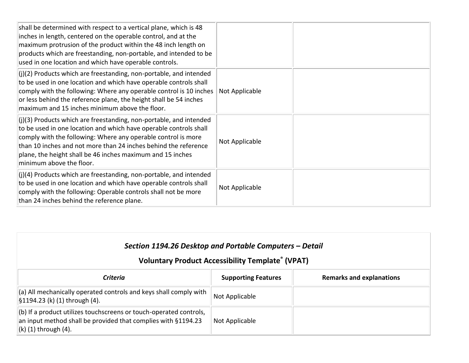| shall be determined with respect to a vertical plane, which is 48<br>inches in length, centered on the operable control, and at the<br>maximum protrusion of the product within the 48 inch length on<br>products which are freestanding, non-portable, and intended to be<br>used in one location and which have operable controls.                                     |                |  |
|--------------------------------------------------------------------------------------------------------------------------------------------------------------------------------------------------------------------------------------------------------------------------------------------------------------------------------------------------------------------------|----------------|--|
| $($ i)(2) Products which are freestanding, non-portable, and intended<br>to be used in one location and which have operable controls shall<br>comply with the following: Where any operable control is 10 inches<br>or less behind the reference plane, the height shall be 54 inches<br>maximum and 15 inches minimum above the floor.                                  | Not Applicable |  |
| $($ i)(3) Products which are freestanding, non-portable, and intended<br>to be used in one location and which have operable controls shall<br>comply with the following: Where any operable control is more<br>than 10 inches and not more than 24 inches behind the reference<br>plane, the height shall be 46 inches maximum and 15 inches<br>minimum above the floor. | Not Applicable |  |
| $\vert$ (j)(4) Products which are freestanding, non-portable, and intended<br>to be used in one location and which have operable controls shall<br>comply with the following: Operable controls shall not be more<br>than 24 inches behind the reference plane.                                                                                                          | Not Applicable |  |

| Section 1194.26 Desktop and Portable Computers - Detail<br><b>Voluntary Product Accessibility Template® (VPAT)</b>                                                       |                            |                                 |
|--------------------------------------------------------------------------------------------------------------------------------------------------------------------------|----------------------------|---------------------------------|
| Criteria                                                                                                                                                                 | <b>Supporting Features</b> | <b>Remarks and explanations</b> |
| (a) All mechanically operated controls and keys shall comply with<br>$\left  \frac{51194.23}{k} \right $ (1) through (4).                                                | Not Applicable             |                                 |
| $\vert$ (b) If a product utilizes touchscreens or touch-operated controls,<br>an input method shall be provided that complies with §1194.23<br>$\ $ (k) (1) through (4). | Not Applicable             |                                 |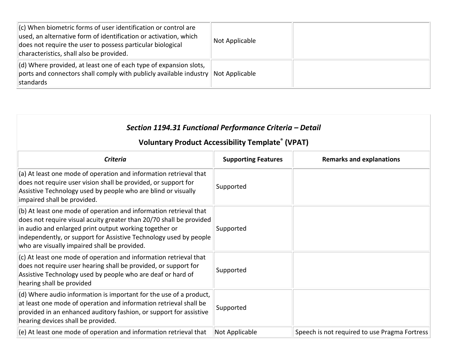| $\vert$ (c) When biometric forms of user identification or control are<br>used, an alternative form of identification or activation, which<br>does not require the user to possess particular biological<br>characteristics, shall also be provided. | Not Applicable |  |
|------------------------------------------------------------------------------------------------------------------------------------------------------------------------------------------------------------------------------------------------------|----------------|--|
| $\vert$ (d) Where provided, at least one of each type of expansion slots,<br>$\ $ ports and connectors shall comply with publicly available industry $\ $ Not Applicable<br>standards                                                                |                |  |

| Section 1194.31 Functional Performance Criteria - Detail<br><b>Voluntary Product Accessibility Template® (VPAT)</b>                                                                                                                                                                                                     |                            |                                               |
|-------------------------------------------------------------------------------------------------------------------------------------------------------------------------------------------------------------------------------------------------------------------------------------------------------------------------|----------------------------|-----------------------------------------------|
| <b>Criteria</b>                                                                                                                                                                                                                                                                                                         | <b>Supporting Features</b> | <b>Remarks and explanations</b>               |
| (a) At least one mode of operation and information retrieval that<br>does not require user vision shall be provided, or support for<br>Assistive Technology used by people who are blind or visually<br>impaired shall be provided.                                                                                     | Supported                  |                                               |
| (b) At least one mode of operation and information retrieval that<br>does not require visual acuity greater than 20/70 shall be provided<br>in audio and enlarged print output working together or<br>independently, or support for Assistive Technology used by people<br>who are visually impaired shall be provided. | Supported                  |                                               |
| (c) At least one mode of operation and information retrieval that<br>does not require user hearing shall be provided, or support for<br>Assistive Technology used by people who are deaf or hard of<br>hearing shall be provided                                                                                        | Supported                  |                                               |
| (d) Where audio information is important for the use of a product,<br>at least one mode of operation and information retrieval shall be<br>provided in an enhanced auditory fashion, or support for assistive<br>hearing devices shall be provided.                                                                     | Supported                  |                                               |
| (e) At least one mode of operation and information retrieval that                                                                                                                                                                                                                                                       | Not Applicable             | Speech is not required to use Pragma Fortress |